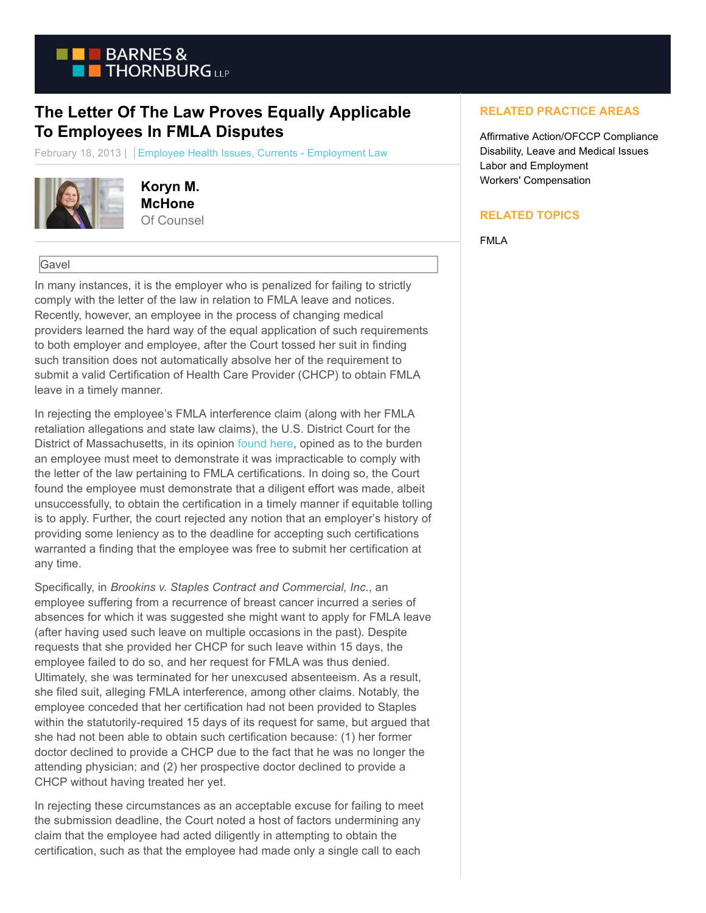

## **The Letter Of The Law Proves Equally Applicable To Employees In FMLA Disputes**

February 18, 2013 | Employee Health Issues, Currents - Employment Law



**Koryn M. McHone** Of Counsel

## Gavel

In many instances, it is the employer who is penalized for failing to strictly comply with the letter of the law in relation to FMLA leave and notices. Recently, however, an employee in the process of changing medical providers learned the hard way of the equal application of such requirements to both employer and employee, after the Court tossed her suit in finding such transition does not automatically absolve her of the requirement to submit a valid Certification of Health Care Provider (CHCP) to obtain FMLA leave in a timely manner.

In rejecting the employee's FMLA interference claim (along with her FMLA retaliation allegations and state law claims), the U.S. District Court for the District of Massachusetts, in its opinion [found here,](http://hr.cch.com/eld/BrookinsStaples.pdf) opined as to the burden an employee must meet to demonstrate it was impracticable to comply with the letter of the law pertaining to FMLA certifications. In doing so, the Court found the employee must demonstrate that a diligent effort was made, albeit unsuccessfully, to obtain the certification in a timely manner if equitable tolling is to apply. Further, the court rejected any notion that an employer's history of providing some leniency as to the deadline for accepting such certifications warranted a finding that the employee was free to submit her certification at any time.

Specifically, in *Brookins v. Staples Contract and Commercial, Inc*., an employee suffering from a recurrence of breast cancer incurred a series of absences for which it was suggested she might want to apply for FMLA leave (after having used such leave on multiple occasions in the past). Despite requests that she provided her CHCP for such leave within 15 days, the employee failed to do so, and her request for FMLA was thus denied. Ultimately, she was terminated for her unexcused absenteeism. As a result, she filed suit, alleging FMLA interference, among other claims. Notably, the employee conceded that her certification had not been provided to Staples within the statutorily-required 15 days of its request for same, but argued that she had not been able to obtain such certification because: (1) her former doctor declined to provide a CHCP due to the fact that he was no longer the attending physician; and (2) her prospective doctor declined to provide a CHCP without having treated her yet.

In rejecting these circumstances as an acceptable excuse for failing to meet the submission deadline, the Court noted a host of factors undermining any claim that the employee had acted diligently in attempting to obtain the certification, such as that the employee had made only a single call to each

## **RELATED PRACTICE AREAS**

Affirmative Action/OFCCP Compliance Disability, Leave and Medical Issues Labor and Employment Workers' Compensation

## **RELATED TOPICS**

FMLA